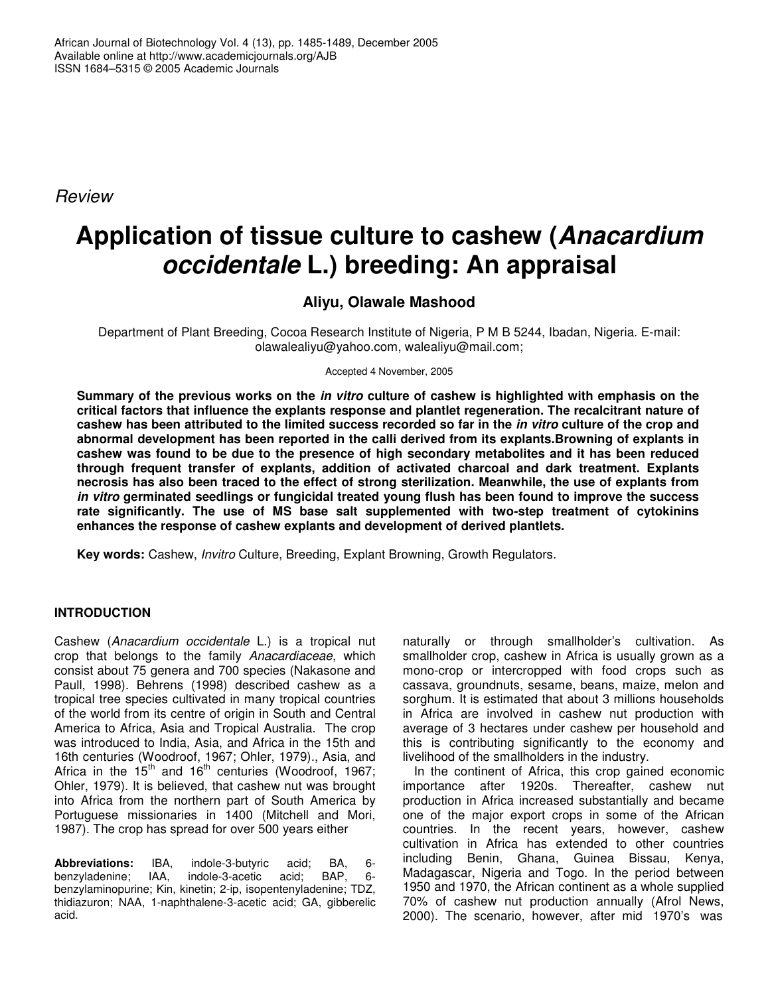*Review*

# **Application of tissue culture to cashew (***Anacardium occidentale* **L.) breeding: An appraisal**

## **Aliyu, Olawale Mashood**

Department of Plant Breeding, Cocoa Research Institute of Nigeria, P M B 5244, Ibadan, Nigeria. E-mail: olawalealiyu@yahoo.com, walealiyu@mail.com;

Accepted 4 November, 2005

Summary of the previous works on the in vitro culture of cashew is highlighted with emphasis on the **critical factors that influence the explants response and plantlet regeneration. The recalcitrant nature of** cashew has been attributed to the limited success recorded so far in the *in vitro* culture of the crop and **abnormal development has been reported in the calli derived from its explants.Browning of explants in cashew was found to be due to the presence of high secondary metabolites and it has been reduced through frequent transfer of explants, addition of activated charcoal and dark treatment. Explants necrosis has also been traced to the effect of strong sterilization. Meanwhile, the use of explants from** *in vitro* **germinated seedlings or fungicidal treated young flush has been found to improve the success rate significantly. The use of MS base salt supplemented with two-step treatment of cytokinins enhances the response of cashew explants and development of derived plantlets.**

**Key words:** Cashew, *Invitro* Culture, Breeding, Explant Browning, Growth Regulators.

## **INTRODUCTION**

Cashew (*Anacardium occidentale* L.) is a tropical nut crop that belongs to the family *Anacardiaceae*, which consist about 75 genera and 700 species (Nakasone and Paull, 1998). Behrens (1998) described cashew as a tropical tree species cultivated in many tropical countries of the world from its centre of origin in South and Central America to Africa, Asia and Tropical Australia. The crop was introduced to India, Asia, and Africa in the 15th and 16th centuries (Woodroof, 1967; Ohler, 1979)., Asia, and Africa in the 15<sup>th</sup> and 16<sup>th</sup> centuries (Woodroof, 1967; Ohler, 1979). It is believed, that cashew nut was brought into Africa from the northern part of South America by Portuguese missionaries in 1400 (Mitchell and Mori, 1987). The crop has spread for over 500 years either

**Abbreviations:** IBA, indole-3-butyric acid; BA, 6 indole-3-acetic benzylaminopurine; Kin, kinetin; 2-ip, isopentenyladenine; TDZ, thidiazuron; NAA, 1-naphthalene-3-acetic acid; GA, gibberelic acid.

naturally or through smallholder's cultivation. As smallholder crop, cashew in Africa is usually grown as a mono-crop or intercropped with food crops such as cassava, groundnuts, sesame, beans, maize, melon and sorghum. It is estimated that about 3 millions households in Africa are involved in cashew nut production with average of 3 hectares under cashew per household and this is contributing significantly to the economy and livelihood of the smallholders in the industry.

In the continent of Africa, this crop gained economic importance after 1920s. Thereafter, cashew nut production in Africa increased substantially and became one of the major export crops in some of the African countries. In the recent years, however, cashew cultivation in Africa has extended to other countries including Benin, Ghana, Guinea Bissau, Kenya, Madagascar, Nigeria and Togo. In the period between 1950 and 1970, the African continent as a whole supplied 70% of cashew nut production annually (Afrol News, 2000). The scenario, however, after mid 1970's was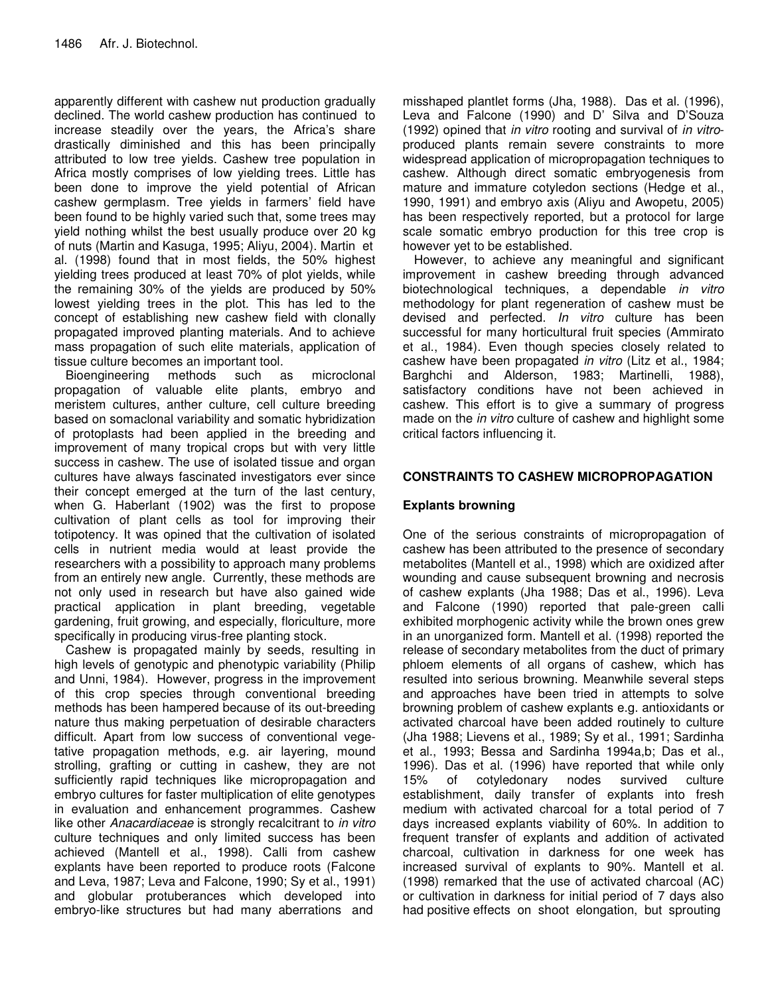apparently different with cashew nut production gradually declined. The world cashew production has continued to increase steadily over the years, the Africa's share drastically diminished and this has been principally attributed to low tree yields. Cashew tree population in Africa mostly comprises of low yielding trees. Little has been done to improve the yield potential of African cashew germplasm. Tree yields in farmers' field have been found to be highly varied such that, some trees may yield nothing whilst the best usually produce over 20 kg of nuts (Martin and Kasuga, 1995; Aliyu, 2004). Martin et al. (1998) found that in most fields, the 50% highest yielding trees produced at least 70% of plot yields, while the remaining 30% of the yields are produced by 50% lowest yielding trees in the plot. This has led to the concept of establishing new cashew field with clonally propagated improved planting materials. And to achieve mass propagation of such elite materials, application of tissue culture becomes an important tool.

Bioengineering methods such as microclonal propagation of valuable elite plants, embryo and meristem cultures, anther culture, cell culture breeding based on somaclonal variability and somatic hybridization of protoplasts had been applied in the breeding and improvement of many tropical crops but with very little success in cashew. The use of isolated tissue and organ cultures have always fascinated investigators ever since their concept emerged at the turn of the last century, when G. Haberlant (1902) was the first to propose cultivation of plant cells as tool for improving their totipotency. It was opined that the cultivation of isolated cells in nutrient media would at least provide the researchers with a possibility to approach many problems from an entirely new angle. Currently, these methods are not only used in research but have also gained wide practical application in plant breeding, vegetable gardening, fruit growing, and especially, floriculture, more specifically in producing virus-free planting stock.

Cashew is propagated mainly by seeds, resulting in high levels of genotypic and phenotypic variability (Philip and Unni, 1984). However, progress in the improvement of this crop species through conventional breeding methods has been hampered because of its out-breeding nature thus making perpetuation of desirable characters difficult. Apart from low success of conventional vegetative propagation methods, e.g. air layering, mound strolling, grafting or cutting in cashew, they are not sufficiently rapid techniques like micropropagation and embryo cultures for faster multiplication of elite genotypes in evaluation and enhancement programmes. Cashew like other *Anacardiaceae* is strongly recalcitrant to *in vitro* culture techniques and only limited success has been achieved (Mantell et al., 1998). Calli from cashew explants have been reported to produce roots (Falcone and Leva, 1987; Leva and Falcone, 1990; Sy et al., 1991) and globular protuberances which developed into embryo-like structures but had many aberrations and

misshaped plantlet forms (Jha, 1988). Das et al. (1996), Leva and Falcone (1990) and D' Silva and D'Souza (1992) opined that *in vitro* rooting and survival of *in vitro*produced plants remain severe constraints to more widespread application of micropropagation techniques to cashew. Although direct somatic embryogenesis from mature and immature cotyledon sections (Hedge et al., 1990, 1991) and embryo axis (Aliyu and Awopetu, 2005) has been respectively reported, but a protocol for large scale somatic embryo production for this tree crop is however yet to be established.

However, to achieve any meaningful and significant improvement in cashew breeding through advanced biotechnological techniques, a dependable *in vitro* methodology for plant regeneration of cashew must be devised and perfected. *In vitro* culture has been successful for many horticultural fruit species (Ammirato et al., 1984). Even though species closely related to cashew have been propagated *in vitro* (Litz et al., 1984; Barghchi and Alderson, 1983; Martinelli, 1988), satisfactory conditions have not been achieved in cashew. This effort is to give a summary of progress made on the *in vitro* culture of cashew and highlight some critical factors influencing it.

## **CONSTRAINTS TO CASHEW MICROPROPAGATION**

## **Explants browning**

One of the serious constraints of micropropagation of cashew has been attributed to the presence of secondary metabolites (Mantell et al., 1998) which are oxidized after wounding and cause subsequent browning and necrosis of cashew explants (Jha 1988; Das et al., 1996). Leva and Falcone (1990) reported that pale-green calli exhibited morphogenic activity while the brown ones grew in an unorganized form. Mantell et al. (1998) reported the release of secondary metabolites from the duct of primary phloem elements of all organs of cashew, which has resulted into serious browning. Meanwhile several steps and approaches have been tried in attempts to solve browning problem of cashew explants e.g. antioxidants or activated charcoal have been added routinely to culture (Jha 1988; Lievens et al., 1989; Sy et al., 1991; Sardinha et al., 1993; Bessa and Sardinha 1994a,b; Das et al., 1996). Das et al. (1996) have reported that while only 15% of cotyledonary nodes survived culture establishment, daily transfer of explants into fresh medium with activated charcoal for a total period of 7 days increased explants viability of 60%. In addition to frequent transfer of explants and addition of activated charcoal, cultivation in darkness for one week has increased survival of explants to 90%. Mantell et al. (1998) remarked that the use of activated charcoal (AC) or cultivation in darkness for initial period of 7 days also had positive effects on shoot elongation, but sprouting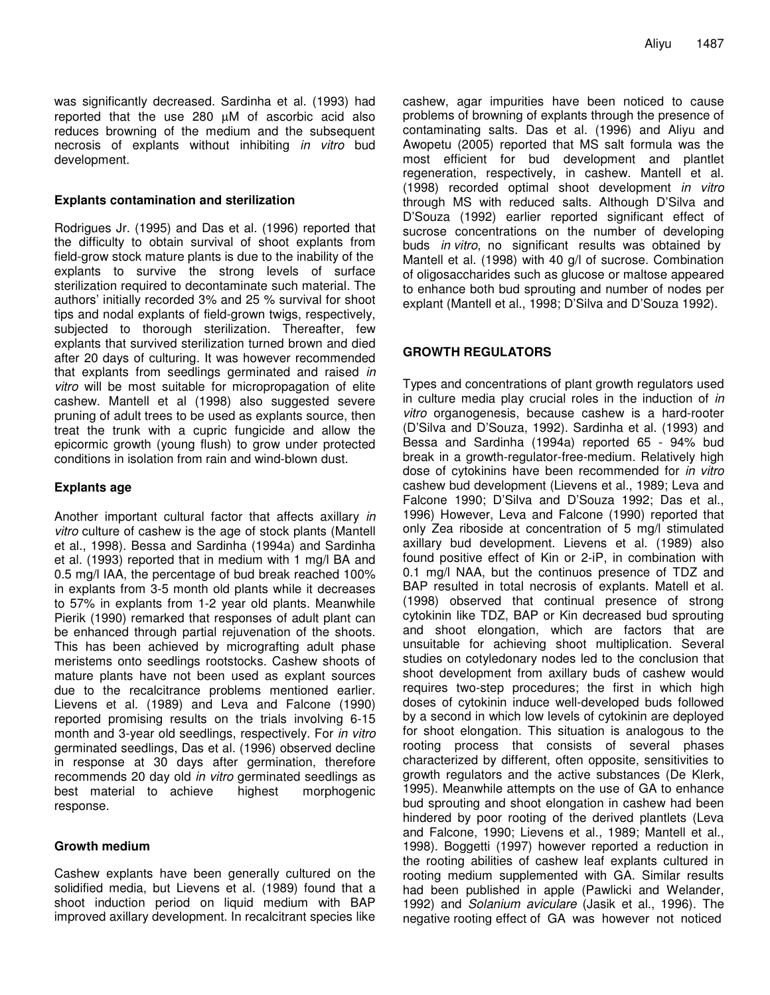was significantly decreased. Sardinha et al. (1993) had reported that the use 280 µM of ascorbic acid also reduces browning of the medium and the subsequent necrosis of explants without inhibiting *in vitro* bud development.

#### **Explants contamination and sterilization**

Rodrigues Jr. (1995) and Das et al. (1996) reported that the difficulty to obtain survival of shoot explants from field-grow stock mature plants is due to the inability of the explants to survive the strong levels of surface sterilization required to decontaminate such material. The authors' initially recorded 3% and 25 % survival for shoot tips and nodal explants of field-grown twigs, respectively, subjected to thorough sterilization. Thereafter, few explants that survived sterilization turned brown and died after 20 days of culturing. It was however recommended that explants from seedlings germinated and raised *in vitro* will be most suitable for micropropagation of elite cashew. Mantell et al (1998) also suggested severe pruning of adult trees to be used as explants source, then treat the trunk with a cupric fungicide and allow the epicormic growth (young flush) to grow under protected conditions in isolation from rain and wind-blown dust.

#### **Explants age**

Another important cultural factor that affects axillary *in vitro* culture of cashew is the age of stock plants (Mantell et al., 1998). Bessa and Sardinha (1994a) and Sardinha et al. (1993) reported that in medium with 1 mg/l BA and 0.5 mg/l IAA, the percentage of bud break reached 100% in explants from 3-5 month old plants while it decreases to 57% in explants from 1-2 year old plants. Meanwhile Pierik (1990) remarked that responses of adult plant can be enhanced through partial rejuvenation of the shoots. This has been achieved by micrografting adult phase meristems onto seedlings rootstocks. Cashew shoots of mature plants have not been used as explant sources due to the recalcitrance problems mentioned earlier. Lievens et al. (1989) and Leva and Falcone (1990) reported promising results on the trials involving 6-15 month and 3-year old seedlings, respectively. For *in vitro* germinated seedlings, Das et al. (1996) observed decline in response at 30 days after germination, therefore recommends 20 day old *in vitro* germinated seedlings as best material to achieve highest morphogenic response.

#### **Growth medium**

Cashew explants have been generally cultured on the solidified media, but Lievens et al. (1989) found that a shoot induction period on liquid medium with BAP improved axillary development. In recalcitrant species like

cashew, agar impurities have been noticed to cause problems of browning of explants through the presence of contaminating salts. Das et al. (1996) and Aliyu and Awopetu (2005) reported that MS salt formula was the most efficient for bud development and plantlet regeneration, respectively, in cashew. Mantell et al. (1998) recorded optimal shoot development *in vitro* through MS with reduced salts. Although D'Silva and D'Souza (1992) earlier reported significant effect of sucrose concentrations on the number of developing buds *in vitro*, no significant results was obtained by Mantell et al. (1998) with 40 g/l of sucrose. Combination of oligosaccharides such as glucose or maltose appeared to enhance both bud sprouting and number of nodes per explant (Mantell et al., 1998; D'Silva and D'Souza 1992).

### **GROWTH REGULATORS**

Types and concentrations of plant growth regulators used in culture media play crucial roles in the induction of *in vitro* organogenesis, because cashew is a hard-rooter (D'Silva and D'Souza, 1992). Sardinha et al. (1993) and Bessa and Sardinha (1994a) reported 65 - 94% bud break in a growth-regulator-free-medium. Relatively high dose of cytokinins have been recommended for *in vitro* cashew bud development (Lievens et al., 1989; Leva and Falcone 1990; D'Silva and D'Souza 1992; Das et al., 1996) However, Leva and Falcone (1990) reported that only Zea riboside at concentration of 5 mg/l stimulated axillary bud development. Lievens et al. (1989) also found positive effect of Kin or 2-iP, in combination with 0.1 mg/l NAA, but the continuos presence of TDZ and BAP resulted in total necrosis of explants. Matell et al. (1998) observed that continual presence of strong cytokinin like TDZ, BAP or Kin decreased bud sprouting and shoot elongation, which are factors that are unsuitable for achieving shoot multiplication. Several studies on cotyledonary nodes led to the conclusion that shoot development from axillary buds of cashew would requires two-step procedures; the first in which high doses of cytokinin induce well-developed buds followed by a second in which low levels of cytokinin are deployed for shoot elongation. This situation is analogous to the rooting process that consists of several phases characterized by different, often opposite, sensitivities to growth regulators and the active substances (De Klerk, 1995). Meanwhile attempts on the use of GA to enhance bud sprouting and shoot elongation in cashew had been hindered by poor rooting of the derived plantlets (Leva and Falcone, 1990; Lievens et al., 1989; Mantell et al., 1998). Boggetti (1997) however reported a reduction in the rooting abilities of cashew leaf explants cultured in rooting medium supplemented with GA. Similar results had been published in apple (Pawlicki and Welander, 1992) and *Solanium aviculare* (Jasik et al., 1996). The negative rooting effect of GA was however not noticed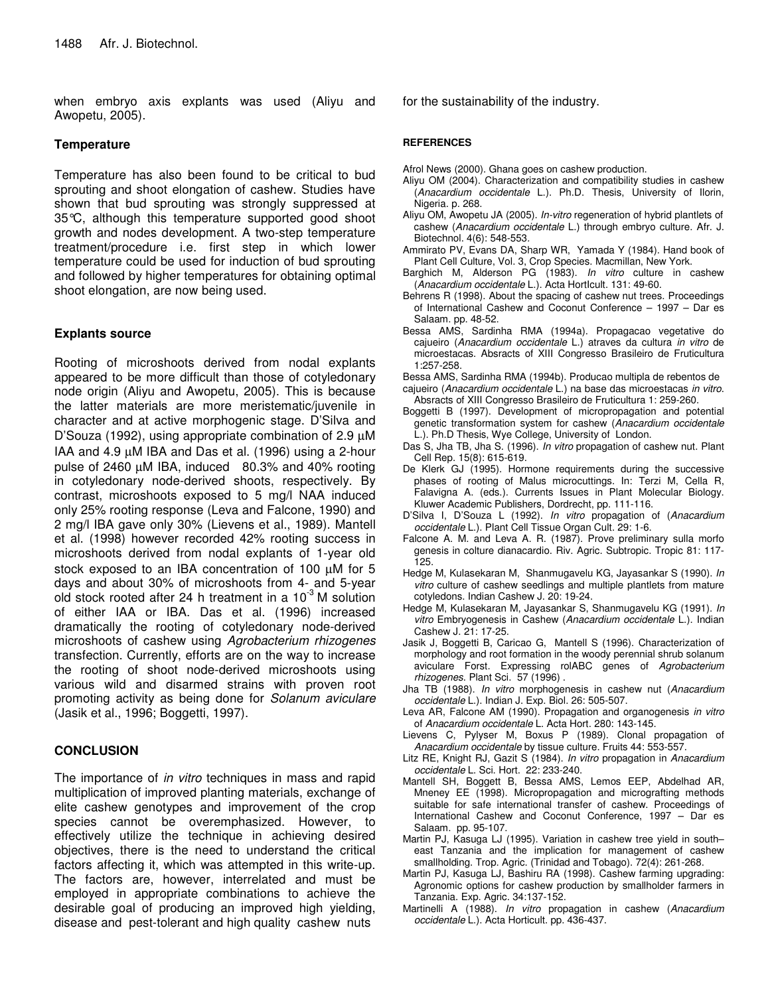when embryo axis explants was used (Aliyu and Awopetu, 2005).

#### **Temperature**

Temperature has also been found to be critical to bud sprouting and shoot elongation of cashew. Studies have shown that bud sprouting was strongly suppressed at 35°C, although this temperature supported good shoot growth and nodes development. A two-step temperature treatment/procedure i.e. first step in which lower temperature could be used for induction of bud sprouting and followed by higher temperatures for obtaining optimal shoot elongation, are now being used.

#### **Explants source**

Rooting of microshoots derived from nodal explants appeared to be more difficult than those of cotyledonary node origin (Aliyu and Awopetu, 2005). This is because the latter materials are more meristematic/juvenile in character and at active morphogenic stage. D'Silva and D'Souza (1992), using appropriate combination of 2.9 µM IAA and 4.9 µM IBA and Das et al. (1996) using a 2-hour pulse of 2460 µM IBA, induced 80.3% and 40% rooting in cotyledonary node-derived shoots, respectively. By contrast, microshoots exposed to 5 mg/l NAA induced only 25% rooting response (Leva and Falcone, 1990) and 2 mg/l IBA gave only 30% (Lievens et al., 1989). Mantell et al. (1998) however recorded 42% rooting success in microshoots derived from nodal explants of 1-year old stock exposed to an IBA concentration of 100  $\mu$ M for 5 days and about 30% of microshoots from 4- and 5-year old stock rooted after 24 h treatment in a 10 $3$  M solution of either IAA or IBA. Das et al. (1996) increased dramatically the rooting of cotyledonary node-derived microshoots of cashew using *Agrobacterium rhizogenes* transfection. Currently, efforts are on the way to increase the rooting of shoot node-derived microshoots using various wild and disarmed strains with proven root promoting activity as being done for *Solanum aviculare* (Jasik et al., 1996; Boggetti, 1997).

#### **CONCLUSION**

The importance of *in vitro* techniques in mass and rapid multiplication of improved planting materials, exchange of elite cashew genotypes and improvement of the crop species cannot be overemphasized. However, to effectively utilize the technique in achieving desired objectives, there is the need to understand the critical factors affecting it, which was attempted in this write-up. The factors are, however, interrelated and must be employed in appropriate combinations to achieve the desirable goal of producing an improved high yielding, disease and pest-tolerant and high quality cashew nuts

for the sustainability of the industry.

#### **REFERENCES**

- Afrol News (2000). Ghana goes on cashew production.
- Aliyu OM (2004). Characterization and compatibility studies in cashew (*Anacardium occidentale* L.). Ph.D. Thesis, University of Ilorin, Nigeria. p. 268.
- Aliyu OM, Awopetu JA (2005). *In-vitro* regeneration of hybrid plantlets of cashew (*Anacardium occidentale* L.) through embryo culture. Afr. J. Biotechnol. 4(6): 548-553*.*
- Ammirato PV, Evans DA, Sharp WR, Yamada Y (1984). Hand book of Plant Cell Culture, Vol. 3, Crop Species. Macmillan, New York.
- Barghich M, Alderson PG (1983). *In vitro* culture in cashew (*Anacardium occidentale* L.). Acta HortIcult. 131: 49-60.
- Behrens R (1998). About the spacing of cashew nut trees. Proceedings of International Cashew and Coconut Conference – 1997 – Dar es Salaam. pp. 48-52.
- Bessa AMS, Sardinha RMA (1994a). Propagacao vegetative do cajueiro (*Anacardium occidentale* L.) atraves da cultura *in vitro* de microestacas. Absracts of XIII Congresso Brasileiro de Fruticultura 1:257-258.
- Bessa AMS, Sardinha RMA (1994b). Producao multipla de rebentos de cajueiro (*Anacardium occidentale* L.) na base das microestacas *in vitro*.
- Absracts of XIII Congresso Brasileiro de Fruticultura 1: 259-260.
- Boggetti B (1997). Development of micropropagation and potential genetic transformation system for cashew (*Anacardium occidentale* L.). Ph.D Thesis, Wye College, University of London.
- Das S, Jha TB, Jha S. (1996). *In vitro* propagation of cashew nut. Plant Cell Rep. 15(8): 615-619.
- De Klerk GJ (1995). Hormone requirements during the successive phases of rooting of Malus microcuttings. In: Terzi M, Cella R, Falavigna A. (eds.). Currents Issues in Plant Molecular Biology. Kluwer Academic Publishers, Dordrecht, pp. 111-116.
- D'Silva I, D'Souza L (1992). *In vitro* propagation of (*Anacardium occidentale* L.). Plant Cell Tissue Organ Cult. 29: 1-6.
- Falcone A. M. and Leva A. R. (1987). Prove preliminary sulla morfo genesis in colture dianacardio. Riv. Agric. Subtropic. Tropic 81: 117- 125.
- Hedge M, Kulasekaran M, Shanmugavelu KG, Jayasankar S (1990). *In vitro* culture of cashew seedlings and multiple plantlets from mature cotyledons. Indian Cashew J. 20: 19-24.
- Hedge M, Kulasekaran M, Jayasankar S, Shanmugavelu KG (1991). *In vitro* Embryogenesis in Cashew (*Anacardium occidentale* L.). Indian Cashew J. 21: 17-25.
- Jasik J, Boggetti B, Caricao G, Mantell S (1996). Characterization of morphology and root formation in the woody perennial shrub solanum aviculare Forst. Expressing rolABC genes of *Agrobacterium rhizogenes*. Plant Sci. 57 (1996) .
- Jha TB (1988). *In vitro* morphogenesis in cashew nut (*Anacardium occidentale* L.). Indian J. Exp. Biol. 26: 505-507.
- Leva AR, Falcone AM (1990). Propagation and organogenesis *in vitro* of *Anacardium occidentale* L. Acta Hort. 280: 143-145.
- Lievens C, Pylyser M, Boxus P (1989). Clonal propagation of *Anacardium occidentale* by tissue culture. Fruits 44: 553-557.
- Litz RE, Knight RJ, Gazit S (1984). *In vitro* propagation in *Anacardium occidentale* L. Sci. Hort. 22: 233-240.
- Mantell SH, Boggett B, Bessa AMS, Lemos EEP, Abdelhad AR, Mneney EE (1998). Micropropagation and micrografting methods suitable for safe international transfer of cashew. Proceedings of International Cashew and Coconut Conference, 1997 – Dar es Salaam. pp. 95-107.
- Martin PJ, Kasuga LJ (1995). Variation in cashew tree yield in south– east Tanzania and the implication for management of cashew smallholding. Trop. Agric. (Trinidad and Tobago). 72(4): 261-268.
- Martin PJ, Kasuga LJ, Bashiru RA (1998). Cashew farming upgrading: Agronomic options for cashew production by smallholder farmers in Tanzania. Exp. Agric. 34:137-152.
- Martinelli A (1988). *In vitro* propagation in cashew (*Anacardium occidentale* L.). Acta Horticult. pp. 436-437.